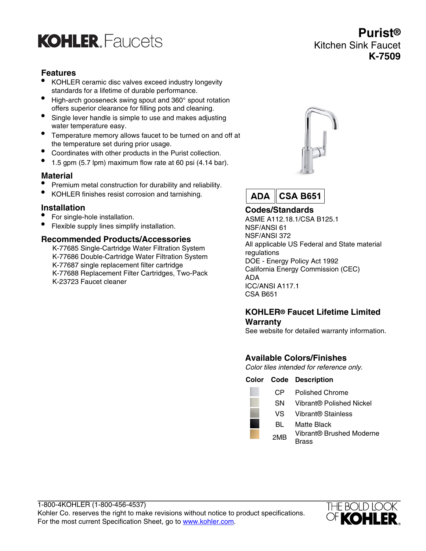## **KOHLER** Faucets

## **Features**

- KOHLER ceramic disc valves exceed industry longevity standards for a lifetime of durable performance.
- High-arch gooseneck swing spout and 360° spout rotation offers superior clearance for filling pots and cleaning.
- Single lever handle is simple to use and makes adjusting water temperature easy.
- Temperature memory allows faucet to be turned on and off at the temperature set during prior usage.
- Coordinates with other products in the Purist collection.
- 1.5 gpm (5.7 lpm) maximum flow rate at 60 psi (4.14 bar).

#### **Material**

- Premium metal construction for durability and reliability.
- KOHLER finishes resist corrosion and tarnishing.

#### **Installation**

- For single-hole installation.
- Flexible supply lines simplify installation.

#### **Recommended Products/Accessories**

K-77685 Single-Cartridge Water Filtration System K-77686 Double-Cartridge Water Filtration System K-77687 single replacement filter cartridge K-77688 Replacement Filter Cartridges, Two-Pack K-23723 Faucet cleaner



**Purist®**

**K-7509**

Kitchen Sink Faucet



## **Codes/Standards**

ASME A112.18.1/CSA B125.1 NSF/ANSI 61 NSF/ANSI 372 All applicable US Federal and State material regulations DOE - Energy Policy Act 1992 California Energy Commission (CEC) ADA ICC/ANSI A117.1 CSA B651

#### **KOHLER® Faucet Lifetime Limited Warranty**

See website for detailed warranty information.

## **Available Colors/Finishes**

Color tiles intended for reference only.